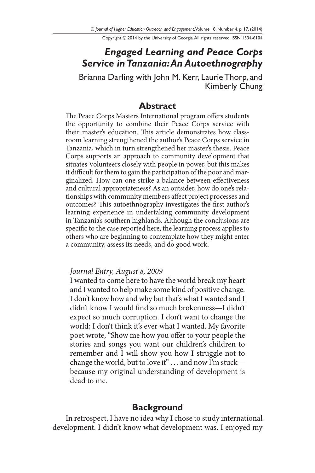Copyright © 2014 by the University of Georgia. All rights reserved. ISSN 1534-6104

# *Engaged Learning and Peace Corps Service in Tanzania: An Autoethnography*

Brianna Darling with John M. Kerr, Laurie Thorp, and Kimberly Chung

### **Abstract**

The Peace Corps Masters International program offers students the opportunity to combine their Peace Corps service with their master's education. This article demonstrates how classroom learning strengthened the author's Peace Corps service in Tanzania, which in turn strengthened her master's thesis. Peace Corps supports an approach to community development that situates Volunteers closely with people in power, but this makes it difficult for them to gain the participation of the poor and marginalized. How can one strike a balance between effectiveness and cultural appropriateness? As an outsider, how do one's relationships with community members affect project processes and outcomes? This autoethnography investigates the first author's learning experience in undertaking community development in Tanzania's southern highlands. Although the conclusions are specific to the case reported here, the learning process applies to others who are beginning to contemplate how they might enter a community, assess its needs, and do good work.

#### *Journal Entry, August 8, 2009*

I wanted to come here to have the world break my heart and I wanted to help make some kind of positive change. I don't know how and why but that's what I wanted and I didn't know I would find so much brokenness—I didn't expect so much corruption. I don't want to change the world; I don't think it's ever what I wanted. My favorite poet wrote, "Show me how you offer to your people the stories and songs you want our children's children to remember and I will show you how I struggle not to change the world, but to love it" . . . and now I'm stuck because my original understanding of development is dead to me.

# **Background**

In retrospect, I have no idea why I chose to study international development. I didn't know what development was. I enjoyed my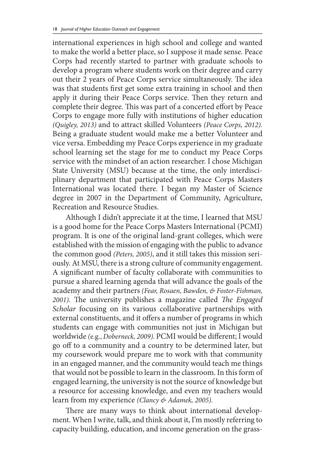international experiences in high school and college and wanted to make the world a better place, so I suppose it made sense. Peace Corps had recently started to partner with graduate schools to develop a program where students work on their degree and carry out their 2 years of Peace Corps service simultaneously. The idea was that students first get some extra training in school and then apply it during their Peace Corps service. Then they return and complete their degree. This was part of a concerted effort by Peace Corps to engage more fully with institutions of higher education *(Quigley, 2013)* and to attract skilled Volunteers *(Peace Corps, 2012).*  Being a graduate student would make me a better Volunteer and vice versa. Embedding my Peace Corps experience in my graduate school learning set the stage for me to conduct my Peace Corps service with the mindset of an action researcher. I chose Michigan State University (MSU) because at the time, the only interdisciplinary department that participated with Peace Corps Masters International was located there. I began my Master of Science degree in 2007 in the Department of Community, Agriculture, Recreation and Resource Studies.

Although I didn't appreciate it at the time, I learned that MSU is a good home for the Peace Corps Masters International (PCMI) program. It is one of the original land-grant colleges, which were established with the mission of engaging with the public to advance the common good *(Peters, 2005)*, and it still takes this mission seriously. At MSU, there is a strong culture of community engagement. A significant number of faculty collaborate with communities to pursue a shared learning agenda that will advance the goals of the academy and their partners *(Fear, Rosaen, Bawden, & Foster-Fishman, 2001)*. The university publishes a magazine called *The Engaged Scholar* focusing on its various collaborative partnerships with external constituents, and it offers a number of programs in which students can engage with communities not just in Michigan but worldwide *(*e.g., *Doberneck, 2009).* PCMI would be different; I would go off to a community and a country to be determined later, but my coursework would prepare me to work with that community in an engaged manner, and the community would teach me things that would not be possible to learn in the classroom. In this form of engaged learning, the university is not the source of knowledge but a resource for accessing knowledge, and even my teachers would learn from my experience *(Clancy & Adamek, 2005).*

There are many ways to think about international development. When I write, talk, and think about it, I'm mostly referring to capacity building, education, and income generation on the grass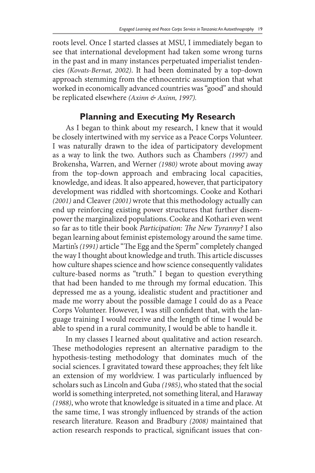roots level. Once I started classes at MSU, I immediately began to see that international development had taken some wrong turns in the past and in many instances perpetuated imperialist tendencies *(Kovats-Bernat, 2002)*. It had been dominated by a top-down approach stemming from the ethnocentric assumption that what worked in economically advanced countries was "good" and should be replicated elsewhere *(Axinn & Axinn, 1997).*

# **Planning and Executing My Research**

As I began to think about my research, I knew that it would be closely intertwined with my service as a Peace Corps Volunteer. I was naturally drawn to the idea of participatory development as a way to link the two. Authors such as Chambers *(1997)* and Brokensha, Warren, and Werner *(1980)* wrote about moving away from the top-down approach and embracing local capacities, knowledge, and ideas. It also appeared, however, that participatory development was riddled with shortcomings. Cooke and Kothari *(2001)* and Cleaver *(2001)* wrote that this methodology actually can end up reinforcing existing power structures that further disempower the marginalized populations. Cooke and Kothari even went so far as to title their book *Participation: The New Tyranny?* I also began learning about feminist epistemology around the same time. Martin's *(1991)* article "The Egg and the Sperm" completely changed the way I thought about knowledge and truth. This article discusses how culture shapes science and how science consequently validates culture-based norms as "truth." I began to question everything that had been handed to me through my formal education. This depressed me as a young, idealistic student and practitioner and made me worry about the possible damage I could do as a Peace Corps Volunteer. However, I was still confident that, with the language training I would receive and the length of time I would be able to spend in a rural community, I would be able to handle it.

In my classes I learned about qualitative and action research. These methodologies represent an alternative paradigm to the hypothesis-testing methodology that dominates much of the social sciences. I gravitated toward these approaches; they felt like an extension of my worldview. I was particularly influenced by scholars such as Lincoln and Guba *(1985)*, who stated that the social world is something interpreted, not something literal, and Haraway *(1988)*, who wrote that knowledge is situated in a time and place. At the same time, I was strongly influenced by strands of the action research literature. Reason and Bradbury *(2008)* maintained that action research responds to practical, significant issues that con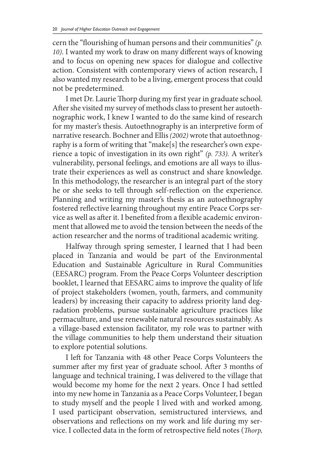cern the "flourishing of human persons and their communities" *(p. 10)*. I wanted my work to draw on many different ways of knowing and to focus on opening new spaces for dialogue and collective action. Consistent with contemporary views of action research, I also wanted my research to be a living, emergent process that could not be predetermined.

I met Dr. Laurie Thorp during my first year in graduate school. After she visited my survey of methods class to present her autoethnographic work, I knew I wanted to do the same kind of research for my master's thesis. Autoethnography is an interpretive form of narrative research. Bochner and Ellis *(2002)* wrote that autoethnography is a form of writing that "make[s] the researcher's own experience a topic of investigation in its own right" *(p. 733).* A writer's vulnerability, personal feelings, and emotions are all ways to illustrate their experiences as well as construct and share knowledge. In this methodology, the researcher is an integral part of the story he or she seeks to tell through self-reflection on the experience. Planning and writing my master's thesis as an autoethnography fostered reflective learning throughout my entire Peace Corps service as well as after it. I benefited from a flexible academic environment that allowed me to avoid the tension between the needs of the action researcher and the norms of traditional academic writing.

Halfway through spring semester, I learned that I had been placed in Tanzania and would be part of the Environmental Education and Sustainable Agriculture in Rural Communities (EESARC) program. From the Peace Corps Volunteer description booklet, I learned that EESARC aims to improve the quality of life of project stakeholders (women, youth, farmers, and community leaders) by increasing their capacity to address priority land degradation problems, pursue sustainable agriculture practices like permaculture, and use renewable natural resources sustainably. As a village-based extension facilitator, my role was to partner with the village communities to help them understand their situation to explore potential solutions.

I left for Tanzania with 48 other Peace Corps Volunteers the summer after my first year of graduate school. After 3 months of language and technical training, I was delivered to the village that would become my home for the next 2 years. Once I had settled into my new home in Tanzania as a Peace Corps Volunteer, I began to study myself and the people I lived with and worked among. I used participant observation, semistructured interviews, and observations and reflections on my work and life during my service. I collected data in the form of retrospective field notes (*Thorp,*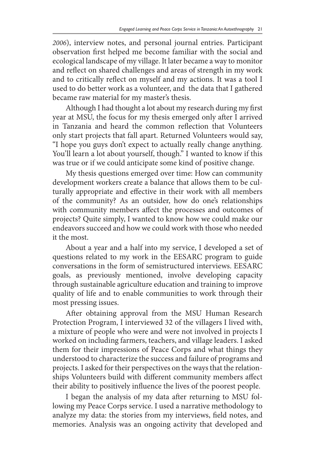*2006*), interview notes, and personal journal entries. Participant observation first helped me become familiar with the social and ecological landscape of my village. It later became a way to monitor and reflect on shared challenges and areas of strength in my work and to critically reflect on myself and my actions. It was a tool I used to do better work as a volunteer, and the data that I gathered became raw material for my master's thesis.

Although I had thought a lot about my research during my first year at MSU, the focus for my thesis emerged only after I arrived in Tanzania and heard the common reflection that Volunteers only start projects that fall apart. Returned Volunteers would say, "I hope you guys don't expect to actually really change anything. You'll learn a lot about yourself, though." I wanted to know if this was true or if we could anticipate some kind of positive change.

My thesis questions emerged over time: How can community development workers create a balance that allows them to be culturally appropriate and effective in their work with all members of the community? As an outsider, how do one's relationships with community members affect the processes and outcomes of projects? Quite simply, I wanted to know how we could make our endeavors succeed and how we could work with those who needed it the most.

About a year and a half into my service, I developed a set of questions related to my work in the EESARC program to guide conversations in the form of semistructured interviews. EESARC goals, as previously mentioned, involve developing capacity through sustainable agriculture education and training to improve quality of life and to enable communities to work through their most pressing issues.

After obtaining approval from the MSU Human Research Protection Program, I interviewed 32 of the villagers I lived with, a mixture of people who were and were not involved in projects I worked on including farmers, teachers, and village leaders. I asked them for their impressions of Peace Corps and what things they understood to characterize the success and failure of programs and projects. I asked for their perspectives on the ways that the relationships Volunteers build with different community members affect their ability to positively influence the lives of the poorest people.

I began the analysis of my data after returning to MSU following my Peace Corps service. I used a narrative methodology to analyze my data: the stories from my interviews, field notes, and memories. Analysis was an ongoing activity that developed and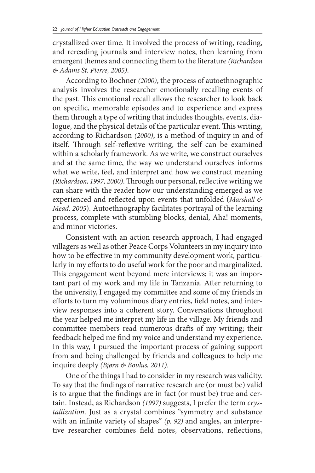crystallized over time. It involved the process of writing, reading, and rereading journals and interview notes, then learning from emergent themes and connecting them to the literature *(Richardson & Adams St. Pierre, 2005)*.

According to Bochner *(2000)*, the process of autoethnographic analysis involves the researcher emotionally recalling events of the past. This emotional recall allows the researcher to look back on specific, memorable episodes and to experience and express them through a type of writing that includes thoughts, events, dialogue, and the physical details of the particular event. This writing, according to Richardson *(2000)*, is a method of inquiry in and of itself. Through self-reflexive writing, the self can be examined within a scholarly framework. As we write, we construct ourselves and at the same time, the way we understand ourselves informs what we write, feel, and interpret and how we construct meaning *(Richardson, 1997, 2000)*. Through our personal, reflective writing we can share with the reader how our understanding emerged as we experienced and reflected upon events that unfolded (*Marshall & Mead, 2005*). Autoethnography facilitates portrayal of the learning process, complete with stumbling blocks, denial, Aha! moments, and minor victories.

Consistent with an action research approach, I had engaged villagers as well as other Peace Corps Volunteers in my inquiry into how to be effective in my community development work, particularly in my efforts to do useful work for the poor and marginalized. This engagement went beyond mere interviews; it was an important part of my work and my life in Tanzania. After returning to the university, I engaged my committee and some of my friends in efforts to turn my voluminous diary entries, field notes, and interview responses into a coherent story. Conversations throughout the year helped me interpret my life in the village. My friends and committee members read numerous drafts of my writing; their feedback helped me find my voice and understand my experience. In this way, I pursued the important process of gaining support from and being challenged by friends and colleagues to help me inquire deeply *(Bjørn & Boulus, 2011).*

One of the things I had to consider in my research was validity. To say that the findings of narrative research are (or must be) valid is to argue that the findings are in fact (or must be) true and certain. Instead, as Richardson *(1997)* suggests, I prefer the term *crystallization*. Just as a crystal combines "symmetry and substance with an infinite variety of shapes" *(p. 92)* and angles, an interpretive researcher combines field notes, observations, reflections,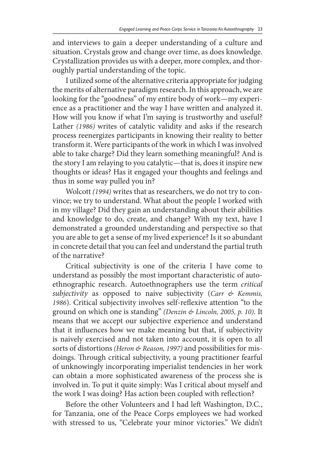and interviews to gain a deeper understanding of a culture and situation. Crystals grow and change over time, as does knowledge. Crystallization provides us with a deeper, more complex, and thoroughly partial understanding of the topic.

I utilized some of the alternative criteria appropriate for judging the merits of alternative paradigm research. In this approach, we are looking for the "goodness" of my entire body of work—my experience as a practitioner and the way I have written and analyzed it. How will you know if what I'm saying is trustworthy and useful? Lather *(1986)* writes of catalytic validity and asks if the research process reenergizes participants in knowing their reality to better transform it. Were participants of the work in which I was involved able to take charge? Did they learn something meaningful? And is the story I am relaying to you catalytic—that is, does it inspire new thoughts or ideas? Has it engaged your thoughts and feelings and thus in some way pulled you in?

Wolcott *(1994)* writes that as researchers, we do not try to convince; we try to understand. What about the people I worked with in my village? Did they gain an understanding about their abilities and knowledge to do, create, and change? With my text, have I demonstrated a grounded understanding and perspective so that you are able to get a sense of my lived experience? Is it so abundant in concrete detail that you can feel and understand the partial truth of the narrative?

Critical subjectivity is one of the criteria I have come to understand as possibly the most important characteristic of autoethnographic research. Autoethnographers use the term *critical subjectivity* as opposed to naive subjectivity (*Carr & Kemmis, 1986*). Critical subjectivity involves self-reflexive attention "to the ground on which one is standing" *(Denzin & Lincoln, 2005, p. 10)*. It means that we accept our subjective experience and understand that it influences how we make meaning but that, if subjectivity is naively exercised and not taken into account, it is open to all sorts of distortions *(Heron & Reason, 1997)* and possibilities for misdoings. Through critical subjectivity, a young practitioner fearful of unknowingly incorporating imperialist tendencies in her work can obtain a more sophisticated awareness of the process she is involved in. To put it quite simply: Was I critical about myself and the work I was doing? Has action been coupled with reflection?

Before the other Volunteers and I had left Washington, D.C., for Tanzania, one of the Peace Corps employees we had worked with stressed to us, "Celebrate your minor victories." We didn't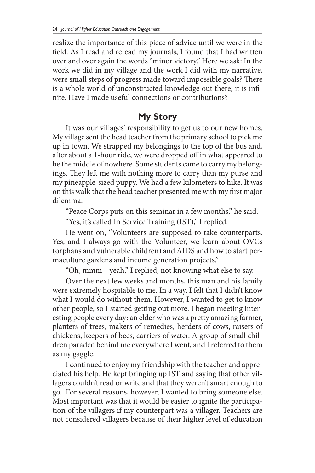realize the importance of this piece of advice until we were in the field. As I read and reread my journals, I found that I had written over and over again the words "minor victory." Here we ask: In the work we did in my village and the work I did with my narrative, were small steps of progress made toward impossible goals? There is a whole world of unconstructed knowledge out there; it is infinite. Have I made useful connections or contributions?

# **My Story**

It was our villages' responsibility to get us to our new homes. My village sent the head teacher from the primary school to pick me up in town. We strapped my belongings to the top of the bus and, after about a 1-hour ride, we were dropped off in what appeared to be the middle of nowhere. Some students came to carry my belongings. They left me with nothing more to carry than my purse and my pineapple-sized puppy. We had a few kilometers to hike. It was on this walk that the head teacher presented me with my first major dilemma.

"Peace Corps puts on this seminar in a few months," he said.

"Yes, it's called In Service Training (IST)," I replied.

He went on, "Volunteers are supposed to take counterparts. Yes, and I always go with the Volunteer, we learn about OVCs (orphans and vulnerable children) and AIDS and how to start permaculture gardens and income generation projects."

"Oh, mmm—yeah," I replied, not knowing what else to say.

Over the next few weeks and months, this man and his family were extremely hospitable to me. In a way, I felt that I didn't know what I would do without them. However, I wanted to get to know other people, so I started getting out more. I began meeting interesting people every day: an elder who was a pretty amazing farmer, planters of trees, makers of remedies, herders of cows, raisers of chickens, keepers of bees, carriers of water. A group of small children paraded behind me everywhere I went, and I referred to them as my gaggle.

I continued to enjoy my friendship with the teacher and appreciated his help. He kept bringing up IST and saying that other villagers couldn't read or write and that they weren't smart enough to go. For several reasons, however, I wanted to bring someone else. Most important was that it would be easier to ignite the participation of the villagers if my counterpart was a villager. Teachers are not considered villagers because of their higher level of education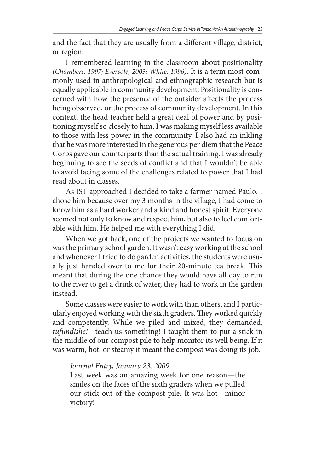and the fact that they are usually from a different village, district, or region.

I remembered learning in the classroom about positionality *(Chambers, 1997; Eversole, 2003; White, 1996)*. It is a term most commonly used in anthropological and ethnographic research but is equally applicable in community development. Positionality is concerned with how the presence of the outsider affects the process being observed, or the process of community development. In this context, the head teacher held a great deal of power and by positioning myself so closely to him, I was making myself less available to those with less power in the community. I also had an inkling that he was more interested in the generous per diem that the Peace Corps gave our counterparts than the actual training. I was already beginning to see the seeds of conflict and that I wouldn't be able to avoid facing some of the challenges related to power that I had read about in classes.

As IST approached I decided to take a farmer named Paulo. I chose him because over my 3 months in the village, I had come to know him as a hard worker and a kind and honest spirit. Everyone seemed not only to know and respect him, but also to feel comfortable with him. He helped me with everything I did.

When we got back, one of the projects we wanted to focus on was the primary school garden. It wasn't easy working at the school and whenever I tried to do garden activities, the students were usually just handed over to me for their 20-minute tea break. This meant that during the one chance they would have all day to run to the river to get a drink of water, they had to work in the garden instead.

Some classes were easier to work with than others, and I particularly enjoyed working with the sixth graders. They worked quickly and competently. While we piled and mixed, they demanded, *tufundishe!*—teach us something! I taught them to put a stick in the middle of our compost pile to help monitor its well being. If it was warm, hot, or steamy it meant the compost was doing its job.

#### *Journal Entry, January 23, 2009*

Last week was an amazing week for one reason—the smiles on the faces of the sixth graders when we pulled our stick out of the compost pile. It was hot—minor victory!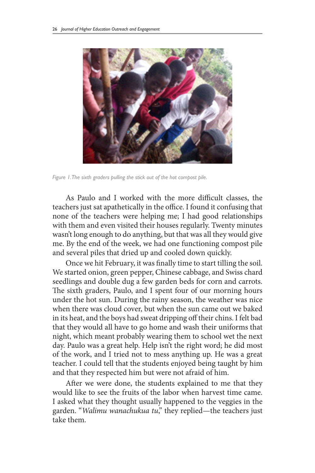

*Figure 1. The sixth graders pulling the stick out of the hot compost pile.*

As Paulo and I worked with the more difficult classes, the teachers just sat apathetically in the office. I found it confusing that none of the teachers were helping me; I had good relationships with them and even visited their houses regularly. Twenty minutes wasn't long enough to do anything, but that was all they would give me. By the end of the week, we had one functioning compost pile and several piles that dried up and cooled down quickly.

Once we hit February, it was finally time to start tilling the soil. We started onion, green pepper, Chinese cabbage, and Swiss chard seedlings and double dug a few garden beds for corn and carrots. The sixth graders, Paulo, and I spent four of our morning hours under the hot sun. During the rainy season, the weather was nice when there was cloud cover, but when the sun came out we baked in its heat, and the boys had sweat dripping off their chins. I felt bad that they would all have to go home and wash their uniforms that night, which meant probably wearing them to school wet the next day. Paulo was a great help. Help isn't the right word; he did most of the work, and I tried not to mess anything up. He was a great teacher. I could tell that the students enjoyed being taught by him and that they respected him but were not afraid of him.

After we were done, the students explained to me that they would like to see the fruits of the labor when harvest time came. I asked what they thought usually happened to the veggies in the garden. "*Walimu wanachukua tu*," they replied—the teachers just take them.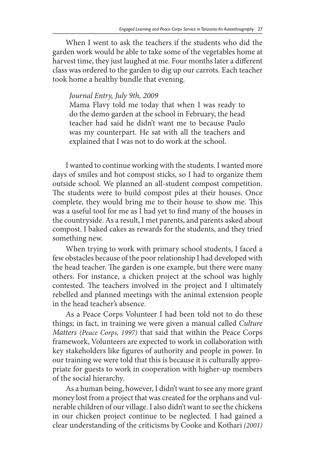When I went to ask the teachers if the students who did the garden work would be able to take some of the vegetables home at harvest time, they just laughed at me. Four months later a different class was ordered to the garden to dig up our carrots. Each teacher took home a healthy bundle that evening.

#### *Journal Entry, July 9th, 2009*

Mama Flavy told me today that when I was ready to do the demo garden at the school in February, the head teacher had said he didn't want me to because Paulo was my counterpart. He sat with all the teachers and explained that I was not to do work at the school.

I wanted to continue working with the students. I wanted more days of smiles and hot compost sticks, so I had to organize them outside school. We planned an all-student compost competition. The students were to build compost piles at their houses. Once complete, they would bring me to their house to show me. This was a useful tool for me as I had yet to find many of the houses in the countryside. As a result, I met parents, and parents asked about compost. I baked cakes as rewards for the students, and they tried something new.

When trying to work with primary school students, I faced a few obstacles because of the poor relationship I had developed with the head teacher. The garden is one example, but there were many others. For instance, a chicken project at the school was highly contested. The teachers involved in the project and I ultimately rebelled and planned meetings with the animal extension people in the head teacher's absence.

As a Peace Corps Volunteer I had been told not to do these things; in fact, in training we were given a manual called *Culture Matters (Peace Corps, 1997)* that said that within the Peace Corps framework, Volunteers are expected to work in collaboration with key stakeholders like figures of authority and people in power. In our training we were told that this is because it is culturally appropriate for guests to work in cooperation with higher-up members of the social hierarchy.

As a human being, however, I didn't want to see any more grant money lost from a project that was created for the orphans and vulnerable children of our village. I also didn't want to see the chickens in our chicken project continue to be neglected. I had gained a clear understanding of the criticisms by Cooke and Kothari *(2001)*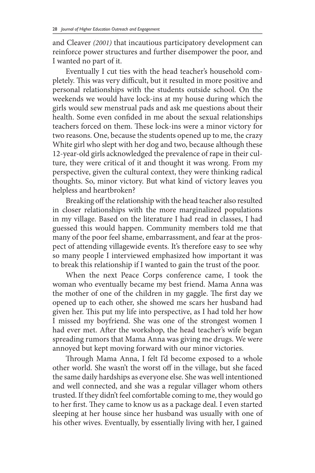and Cleaver *(2001)* that incautious participatory development can reinforce power structures and further disempower the poor, and I wanted no part of it.

Eventually I cut ties with the head teacher's household completely. This was very difficult, but it resulted in more positive and personal relationships with the students outside school. On the weekends we would have lock-ins at my house during which the girls would sew menstrual pads and ask me questions about their health. Some even confided in me about the sexual relationships teachers forced on them. These lock-ins were a minor victory for two reasons. One, because the students opened up to me, the crazy White girl who slept with her dog and two, because although these 12-year-old girls acknowledged the prevalence of rape in their culture, they were critical of it and thought it was wrong. From my perspective, given the cultural context, they were thinking radical thoughts. So, minor victory. But what kind of victory leaves you helpless and heartbroken?

Breaking off the relationship with the head teacher also resulted in closer relationships with the more marginalized populations in my village. Based on the literature I had read in classes, I had guessed this would happen. Community members told me that many of the poor feel shame, embarrassment, and fear at the prospect of attending villagewide events. It's therefore easy to see why so many people I interviewed emphasized how important it was to break this relationship if I wanted to gain the trust of the poor.

When the next Peace Corps conference came, I took the woman who eventually became my best friend. Mama Anna was the mother of one of the children in my gaggle. The first day we opened up to each other, she showed me scars her husband had given her. This put my life into perspective, as I had told her how I missed my boyfriend. She was one of the strongest women I had ever met. After the workshop, the head teacher's wife began spreading rumors that Mama Anna was giving me drugs. We were annoyed but kept moving forward with our minor victories.

Through Mama Anna, I felt I'd become exposed to a whole other world. She wasn't the worst off in the village, but she faced the same daily hardships as everyone else. She was well intentioned and well connected, and she was a regular villager whom others trusted. If they didn't feel comfortable coming to me, they would go to her first. They came to know us as a package deal. I even started sleeping at her house since her husband was usually with one of his other wives. Eventually, by essentially living with her, I gained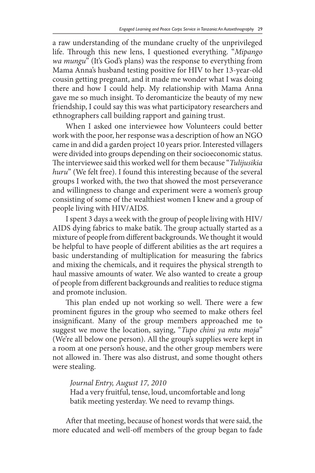a raw understanding of the mundane cruelty of the unprivileged life. Through this new lens, I questioned everything. "*Mipango wa mungu*" (It's God's plans) was the response to everything from Mama Anna's husband testing positive for HIV to her 13-year-old cousin getting pregnant, and it made me wonder what I was doing there and how I could help. My relationship with Mama Anna gave me so much insight. To deromanticize the beauty of my new friendship, I could say this was what participatory researchers and ethnographers call building rapport and gaining trust.

When I asked one interviewee how Volunteers could better work with the poor, her response was a description of how an NGO came in and did a garden project 10 years prior. Interested villagers were divided into groups depending on their socioeconomic status. The interviewee said this worked well for them because "*Tulijusikia huru*" (We felt free). I found this interesting because of the several groups I worked with, the two that showed the most perseverance and willingness to change and experiment were a women's group consisting of some of the wealthiest women I knew and a group of people living with HIV/AIDS.

I spent 3 days a week with the group of people living with HIV/ AIDS dying fabrics to make batik. The group actually started as a mixture of people from different backgrounds. We thought it would be helpful to have people of different abilities as the art requires a basic understanding of multiplication for measuring the fabrics and mixing the chemicals, and it requires the physical strength to haul massive amounts of water. We also wanted to create a group of people from different backgrounds and realities to reduce stigma and promote inclusion.

This plan ended up not working so well. There were a few prominent figures in the group who seemed to make others feel insignificant. Many of the group members approached me to suggest we move the location, saying, "*Tupo chini ya mtu moja*" (We're all below one person). All the group's supplies were kept in a room at one person's house, and the other group members were not allowed in. There was also distrust, and some thought others were stealing.

*Journal Entry, August 17, 2010* Had a very fruitful, tense, loud, uncomfortable and long batik meeting yesterday. We need to revamp things.

After that meeting, because of honest words that were said, the more educated and well-off members of the group began to fade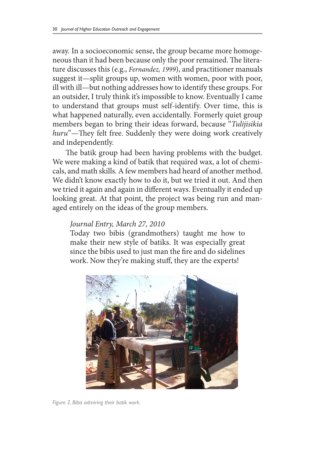away. In a socioeconomic sense, the group became more homogeneous than it had been because only the poor remained. The literature discusses this (e.g., *Fernandez, 1999*), and practitioner manuals suggest it—split groups up, women with women, poor with poor, ill with ill—but nothing addresses how to identify these groups. For an outsider, I truly think it's impossible to know. Eventually I came to understand that groups must self-identify. Over time, this is what happened naturally, even accidentally. Formerly quiet group members began to bring their ideas forward, because "*Tulijisikia huru*"—They felt free. Suddenly they were doing work creatively and independently.

The batik group had been having problems with the budget. We were making a kind of batik that required wax, a lot of chemicals, and math skills. A few members had heard of another method. We didn't know exactly how to do it, but we tried it out. And then we tried it again and again in different ways. Eventually it ended up looking great. At that point, the project was being run and managed entirely on the ideas of the group members.

#### *Journal Entry, March 27, 2010*

Today two bibis (grandmothers) taught me how to make their new style of batiks. It was especially great since the bibis used to just man the fire and do sidelines work. Now they're making stuff, they are the experts!



*Figure 2. Bibis admiring their batik work.*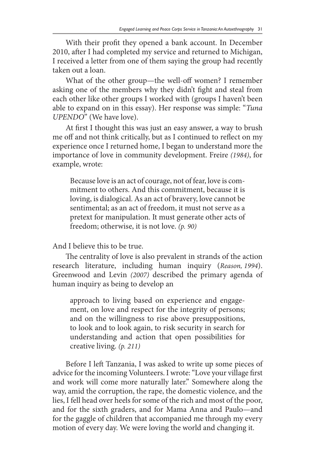With their profit they opened a bank account. In December 2010, after I had completed my service and returned to Michigan, I received a letter from one of them saying the group had recently taken out a loan.

What of the other group—the well-off women? I remember asking one of the members why they didn't fight and steal from each other like other groups I worked with (groups I haven't been able to expand on in this essay). Her response was simple: "*Tuna UPENDO*" (We have love).

At first I thought this was just an easy answer, a way to brush me off and not think critically, but as I continued to reflect on my experience once I returned home, I began to understand more the importance of love in community development. Freire *(1984)*, for example, wrote:

Because love is an act of courage, not of fear, love is commitment to others. And this commitment, because it is loving, is dialogical. As an act of bravery, love cannot be sentimental; as an act of freedom, it must not serve as a pretext for manipulation. It must generate other acts of freedom; otherwise, it is not love. *(p. 90)*

And I believe this to be true.

The centrality of love is also prevalent in strands of the action research literature, including human inquiry (*Reason, 1994*). Greenwood and Levin *(2007)* described the primary agenda of human inquiry as being to develop an

approach to living based on experience and engagement, on love and respect for the integrity of persons; and on the willingness to rise above presuppositions, to look and to look again, to risk security in search for understanding and action that open possibilities for creative living. *(p. 211)*

Before I left Tanzania, I was asked to write up some pieces of advice for the incoming Volunteers. I wrote: "Love your village first and work will come more naturally later." Somewhere along the way, amid the corruption, the rape, the domestic violence, and the lies, I fell head over heels for some of the rich and most of the poor, and for the sixth graders, and for Mama Anna and Paulo—and for the gaggle of children that accompanied me through my every motion of every day. We were loving the world and changing it.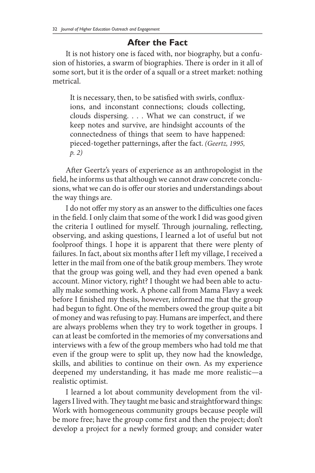# **After the Fact**

It is not history one is faced with, nor biography, but a confusion of histories, a swarm of biographies. There is order in it all of some sort, but it is the order of a squall or a street market: nothing metrical.

It is necessary, then, to be satisfied with swirls, confluxions, and inconstant connections; clouds collecting, clouds dispersing. . . . What we can construct, if we keep notes and survive, are hindsight accounts of the connectedness of things that seem to have happened: pieced-together patternings, after the fact. *(Geertz, 1995, p. 2)*

After Geertz's years of experience as an anthropologist in the field, he informs us that although we cannot draw concrete conclusions, what we can do is offer our stories and understandings about the way things are.

I do not offer my story as an answer to the difficulties one faces in the field. I only claim that some of the work I did was good given the criteria I outlined for myself. Through journaling, reflecting, observing, and asking questions, I learned a lot of useful but not foolproof things. I hope it is apparent that there were plenty of failures. In fact, about six months after I left my village, I received a letter in the mail from one of the batik group members. They wrote that the group was going well, and they had even opened a bank account. Minor victory, right? I thought we had been able to actually make something work. A phone call from Mama Flavy a week before I finished my thesis, however, informed me that the group had begun to fight. One of the members owed the group quite a bit of money and was refusing to pay. Humans are imperfect, and there are always problems when they try to work together in groups. I can at least be comforted in the memories of my conversations and interviews with a few of the group members who had told me that even if the group were to split up, they now had the knowledge, skills, and abilities to continue on their own. As my experience deepened my understanding, it has made me more realistic—a realistic optimist.

I learned a lot about community development from the villagers I lived with. They taught me basic and straightforward things: Work with homogeneous community groups because people will be more free; have the group come first and then the project; don't develop a project for a newly formed group; and consider water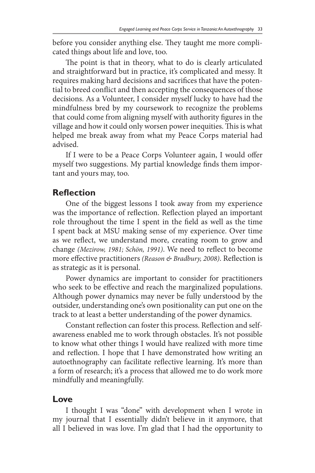before you consider anything else. They taught me more complicated things about life and love, too.

The point is that in theory, what to do is clearly articulated and straightforward but in practice, it's complicated and messy. It requires making hard decisions and sacrifices that have the potential to breed conflict and then accepting the consequences of those decisions. As a Volunteer, I consider myself lucky to have had the mindfulness bred by my coursework to recognize the problems that could come from aligning myself with authority figures in the village and how it could only worsen power inequities. This is what helped me break away from what my Peace Corps material had advised.

If I were to be a Peace Corps Volunteer again, I would offer myself two suggestions. My partial knowledge finds them important and yours may, too.

## **Reflection**

One of the biggest lessons I took away from my experience was the importance of reflection. Reflection played an important role throughout the time I spent in the field as well as the time I spent back at MSU making sense of my experience. Over time as we reflect, we understand more, creating room to grow and change *(Mezirow, 1981; Schön, 1991)*. We need to reflect to become more effective practitioners *(Reason & Bradbury, 2008)*. Reflection is as strategic as it is personal.

Power dynamics are important to consider for practitioners who seek to be effective and reach the marginalized populations. Although power dynamics may never be fully understood by the outsider, understanding one's own positionality can put one on the track to at least a better understanding of the power dynamics.

Constant reflection can foster this process. Reflection and selfawareness enabled me to work through obstacles. It's not possible to know what other things I would have realized with more time and reflection. I hope that I have demonstrated how writing an autoethnography can facilitate reflective learning. It's more than a form of research; it's a process that allowed me to do work more mindfully and meaningfully.

### **Love**

I thought I was "done" with development when I wrote in my journal that I essentially didn't believe in it anymore, that all I believed in was love. I'm glad that I had the opportunity to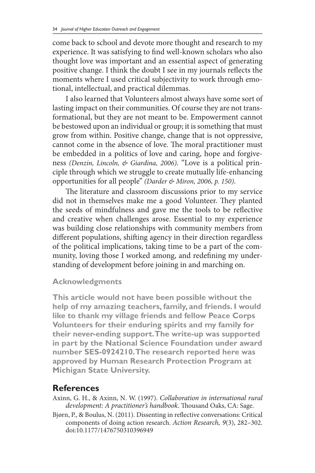come back to school and devote more thought and research to my experience. It was satisfying to find well-known scholars who also thought love was important and an essential aspect of generating positive change. I think the doubt I see in my journals reflects the moments where I used critical subjectivity to work through emotional, intellectual, and practical dilemmas.

I also learned that Volunteers almost always have some sort of lasting impact on their communities. Of course they are not transformational, but they are not meant to be. Empowerment cannot be bestowed upon an individual or group; it is something that must grow from within. Positive change, change that is not oppressive, cannot come in the absence of love. The moral practitioner must be embedded in a politics of love and caring, hope and forgiveness *(Denzin, Lincoln, & Giardina, 2006)*. "Love is a political principle through which we struggle to create mutually life-enhancing opportunities for all people" *(Darder & Miron, 2006, p. 150)*.

The literature and classroom discussions prior to my service did not in themselves make me a good Volunteer. They planted the seeds of mindfulness and gave me the tools to be reflective and creative when challenges arose. Essential to my experience was building close relationships with community members from different populations, shifting agency in their direction regardless of the political implications, taking time to be a part of the community, loving those I worked among, and redefining my understanding of development before joining in and marching on.

#### **Acknowledgments**

**This article would not have been possible without the help of my amazing teachers, family, and friends. I would like to thank my village friends and fellow Peace Corps Volunteers for their enduring spirits and my family for their never-ending support. The write-up was supported in part by the National Science Foundation under award number SES-0924210. The research reported here was approved by Human Research Protection Program at Michigan State University.**

# **References**

- Axinn, G. H., & Axinn, N. W. (1997). *Collaboration in international rural development: A practitioner's handbook*. Thousand Oaks, CA: Sage.
- Bjørn, P., & Boulus, N. (2011). Dissenting in reflective conversations: Critical components of doing action research. *Action Research, 9*(3), 282–302. doi:10.1177/1476750310396949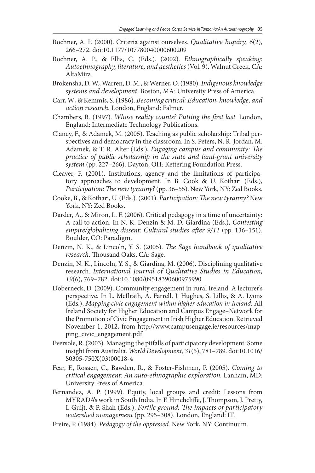- Bochner, A. P. (2000). Criteria against ourselves. *Qualitative Inquiry, 6*(2), 266–272. doi:10.1177/107780040000600209
- Bochner, A. P., & Ellis, C. (Eds.). (2002). *Ethnographically speaking: Autoethnography, literature, and aesthetics* (Vol. 9). Walnut Creek, CA: AltaMira.
- Brokensha, D. W., Warren, D. M., & Werner, O. (1980). *Indigenous knowledge systems and development*. Boston, MA: University Press of America.
- Carr, W., & Kemmis, S. (1986). *Becoming critical: Education, knowledge, and action research.* London, England: Falmer.
- Chambers, R. (1997). *Whose reality counts? Putting the first last.* London, England: Intermediate Technology Publications.
- Clancy, F., & Adamek, M. (2005). Teaching as public scholarship: Tribal perspectives and democracy in the classroom. In S. Peters, N. R. Jordan, M. Adamek, & T. R. Alter (Eds.), *Engaging campus and community: The practice of public scholarship in the state and land-grant university system* (pp. 227–266). Dayton, OH: Kettering Foundation Press.
- Cleaver, F. (2001). Institutions, agency and the limitations of participatory approaches to development. In B. Cook & U. Kothari (Eds.), *Participation: The new tyranny?* (pp. 36–55). New York, NY: Zed Books.
- Cooke, B., & Kothari, U. (Eds.). (2001). *Participation: The new tyranny?* New York, NY: Zed Books.
- Darder, A., & Miron, L. F. (2006). Critical pedagogy in a time of uncertainty: A call to action. In N. K. Denzin & M. D. Giardina (Eds.), *Contesting empire/globalizing dissent: Cultural studies after 9/11* (pp. 136–151). Boulder, CO: Paradigm.
- Denzin, N. K., & Lincoln, Y. S. (2005). *The Sage handbook of qualitative research.* Thousand Oaks, CA: Sage.
- Denzin, N. K., Lincoln, Y. S., & Giardina, M. (2006). Disciplining qualitative research. *International Journal of Qualitative Studies in Education, 19*(6), 769–782. doi:10.1080/09518390600975990
- Doberneck, D. (2009). Community engagement in rural Ireland: A lecturer's perspective. In L. McIlrath, A. Farrell, J. Hughes, S. Lillis, & A. Lyons (Eds.), *Mapping civic engagement within higher education in Ireland.* All Ireland Society for Higher Education and Campus Engage–Network for the Promotion of Civic Engagement in Irish Higher Education. Retrieved November 1, 2012, from http://www.campusengage.ie/resources/mapping\_civic\_engagement.pdf
- Eversole, R. (2003). Managing the pitfalls of participatory development: Some insight from Australia. *World Development, 31*(5), 781–789. doi:10.1016/ S0305-750X(03)00018-4
- Fear, F., Rosaen, C., Bawden, R., & Foster-Fishman, P. (2005). *Coming to critical engagement: An auto-ethnographic exploration.* Lanham, MD: University Press of America.
- Fernandez, A. P. (1999). Equity, local groups and credit: Lessons from MYRADA's work in South India. In F. Hinchcliffe, J. Thompson, J. Pretty, I. Guijt, & P. Shah (Eds.), *Fertile ground: The impacts of participatory watershed management* (pp. 295–308). London, England: IT.
- Freire, P. (1984). *Pedagogy of the oppressed*. New York, NY: Continuum.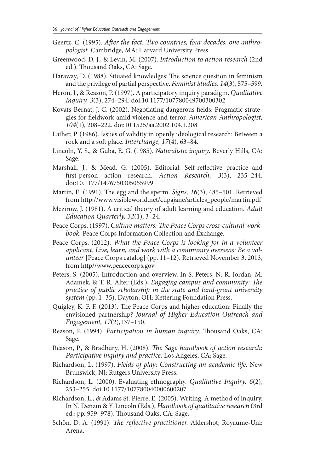- Geertz, C. (1995). *After the fact: Two countries, four decades, one anthropologist.* Cambridge, MA: Harvard University Press.
- Greenwood, D. J., & Levin, M. (2007). *Introduction to action research* (2nd ed.). Thousand Oaks, CA: Sage.
- Haraway, D. (1988). Situated knowledges: The science question in feminism and the privilege of partial perspective. *Feminist Studies, 14*(3), 575–599.
- Heron, J., & Reason, P. (1997). A participatory inquiry paradigm. *Qualitative Inquiry, 3*(3), 274–294. doi:10.1177/107780049700300302
- Kovats-Bernat, J. C. (2002). Negotiating dangerous fields: Pragmatic strategies for fieldwork amid violence and terror. *American Anthropologist, 104*(1), 208–222. doi:10.1525/aa.2002.104.1.208
- Lather, P. (1986). Issues of validity in openly ideological research: Between a rock and a soft place. *Interchange, 17*(4), 63–84.
- Lincoln, Y. S., & Guba, E. G. (1985). *Naturalistic inquiry*. Beverly Hills, CA: Sage.
- Marshall, J., & Mead, G. (2005). Editorial: Self-reflective practice and first-person action research. *Action Research, 3*(3), 235–244. doi:10.1177/1476750305055999
- Martin, E. (1991). The egg and the sperm. *Signs, 16*(3), 485–501. Retrieved from http://www.visibleworld.net/cupajane/articles\_people/martin.pdf
- Mezirow, J. (1981). A critical theory of adult learning and education. *Adult Education Quarterly, 32*(1), 3–24.
- Peace Corps. (1997). *Culture matters: The Peace Corps cross-cultural workbook.* Peace Corps Information Collection and Exchange.
- Peace Corps. (2012). *What the Peace Corps is looking for in a volunteer applicant. Live, learn, and work with a community overseas: Be a volunteer* [Peace Corps catalog] (pp. 11–12). Retrieved November 3, 2013, from http//www.peacecorps.gov
- Peters, S. (2005). Introduction and overview. In S. Peters, N. R. Jordan, M. Adamek, & T. R. Alter (Eds.), *Engaging campus and community: The practice of public scholarship in the state and land-grant university system* (pp. 1–35). Dayton, OH: Kettering Foundation Press.
- Quigley, K. F. F. (2013). The Peace Corps and higher education: Finally the envisioned partnership? *Journal of Higher Education Outreach and Engagement, 17*(2),137–150.
- Reason, P. (1994). *Participation in human inquiry*. Thousand Oaks, CA: Sage.
- Reason, P., & Bradbury, H. (2008). *The Sage handbook of action research: Participative inquiry and practice.* Los Angeles, CA: Sage.
- Richardson, L. (1997). *Fields of play: Constructing an academic life.* New Brunswick, NJ: Rutgers University Press.
- Richardson, L. (2000). Evaluating ethnography. *Qualitative Inquiry, 6*(2), 253–255. doi:10.1177/107780040000600207
- Richardson, L., & Adams St. Pierre, E. (2005). Writing: A method of inquiry. In N. Denzin & Y. Lincoln (Eds.), *Handbook of qualitative research* (3rd ed.; pp. 959–978). Thousand Oaks, CA: Sage.
- Schön, D. A. (1991). *The reflective practitioner.* Aldershot, Royaume-Uni: Arena.